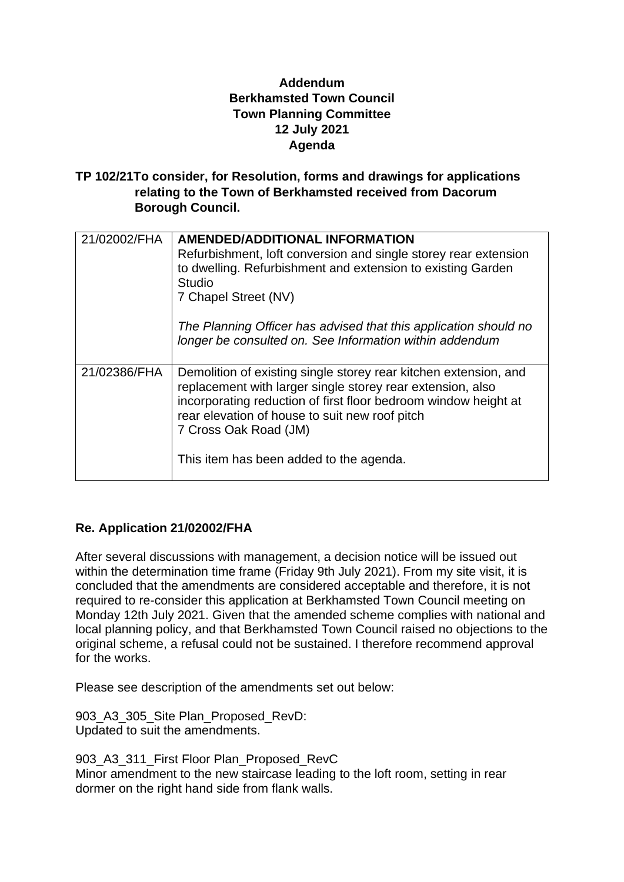## **Addendum Berkhamsted Town Council Town Planning Committee 12 July 2021 Agenda**

**TP 102/21To consider, for Resolution, forms and drawings for applications relating to the Town of Berkhamsted received from Dacorum Borough Council.**

| 21/02002/FHA | <b>AMENDED/ADDITIONAL INFORMATION</b><br>Refurbishment, loft conversion and single storey rear extension<br>to dwelling. Refurbishment and extension to existing Garden<br>Studio<br>7 Chapel Street (NV)<br>The Planning Officer has advised that this application should no<br>longer be consulted on. See Information within addendum |
|--------------|------------------------------------------------------------------------------------------------------------------------------------------------------------------------------------------------------------------------------------------------------------------------------------------------------------------------------------------|
| 21/02386/FHA | Demolition of existing single storey rear kitchen extension, and<br>replacement with larger single storey rear extension, also<br>incorporating reduction of first floor bedroom window height at<br>rear elevation of house to suit new roof pitch<br>7 Cross Oak Road (JM)<br>This item has been added to the agenda.                  |

# **Re. Application 21/02002/FHA**

After several discussions with management, a decision notice will be issued out within the determination time frame (Friday 9th July 2021). From my site visit, it is concluded that the amendments are considered acceptable and therefore, it is not required to re-consider this application at Berkhamsted Town Council meeting on Monday 12th July 2021. Given that the amended scheme complies with national and local planning policy, and that Berkhamsted Town Council raised no objections to the original scheme, a refusal could not be sustained. I therefore recommend approval for the works.

Please see description of the amendments set out below:

903 A3 305 Site Plan Proposed RevD: Updated to suit the amendments.

903\_A3\_311\_First Floor Plan\_Proposed\_RevC Minor amendment to the new staircase leading to the loft room, setting in rear dormer on the right hand side from flank walls.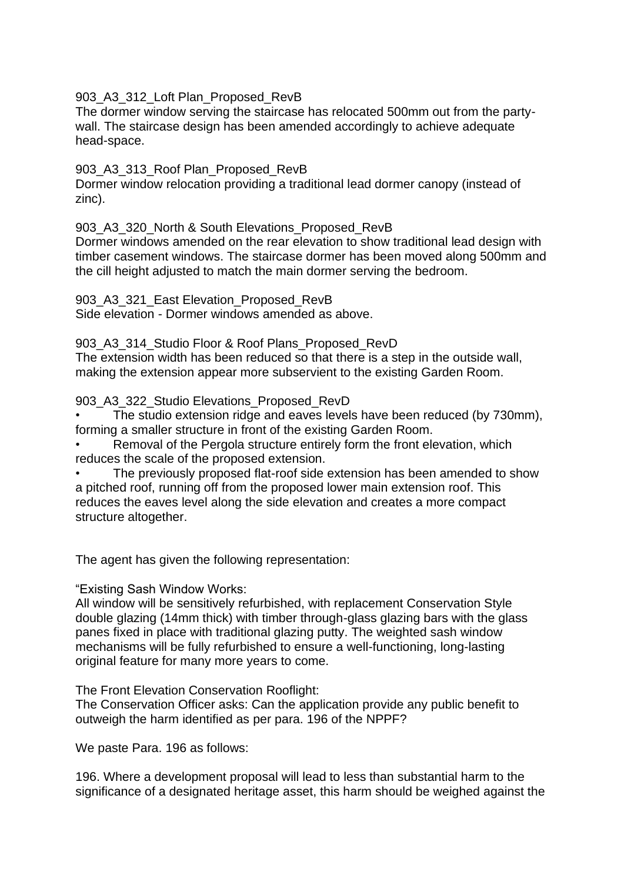#### 903\_A3\_312\_Loft Plan\_Proposed\_RevB

The dormer window serving the staircase has relocated 500mm out from the partywall. The staircase design has been amended accordingly to achieve adequate head-space.

#### 903 A3 313 Roof Plan Proposed RevB

Dormer window relocation providing a traditional lead dormer canopy (instead of zinc).

#### 903 A3 320 North & South Elevations Proposed RevB

Dormer windows amended on the rear elevation to show traditional lead design with timber casement windows. The staircase dormer has been moved along 500mm and the cill height adjusted to match the main dormer serving the bedroom.

903 A3 321 East Elevation Proposed RevB

Side elevation - Dormer windows amended as above.

### 903\_A3\_314\_Studio Floor & Roof Plans\_Proposed\_RevD

The extension width has been reduced so that there is a step in the outside wall, making the extension appear more subservient to the existing Garden Room.

#### 903\_A3\_322\_Studio Elevations\_Proposed\_RevD

• The studio extension ridge and eaves levels have been reduced (by 730mm), forming a smaller structure in front of the existing Garden Room.

Removal of the Pergola structure entirely form the front elevation, which reduces the scale of the proposed extension.

The previously proposed flat-roof side extension has been amended to show a pitched roof, running off from the proposed lower main extension roof. This reduces the eaves level along the side elevation and creates a more compact structure altogether.

The agent has given the following representation:

"Existing Sash Window Works:

All window will be sensitively refurbished, with replacement Conservation Style double glazing (14mm thick) with timber through-glass glazing bars with the glass panes fixed in place with traditional glazing putty. The weighted sash window mechanisms will be fully refurbished to ensure a well-functioning, long-lasting original feature for many more years to come.

The Front Elevation Conservation Rooflight:

The Conservation Officer asks: Can the application provide any public benefit to outweigh the harm identified as per para. 196 of the NPPF?

We paste Para. 196 as follows:

196. Where a development proposal will lead to less than substantial harm to the significance of a designated heritage asset, this harm should be weighed against the